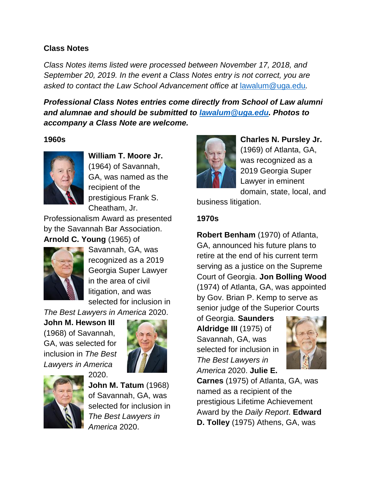### **Class Notes**

*Class Notes items listed were processed between November 17, 2018, and September 20, 2019. In the event a Class Notes entry is not correct, you are asked to contact the Law School Advancement office at* [lawalum@uga.edu](mailto:lawalum@uga.edu)*.*

*Professional Class Notes entries come directly from School of Law alumni and alumnae and should be submitted to [lawalum@uga.edu.](mailto:lawalum@uga.edu) Photos to accompany a Class Note are welcome.*

### **1960s**



**William T. Moore Jr.**  (1964) of Savannah, GA, was named as the recipient of the prestigious Frank S. Cheatham, Jr.

Professionalism Award as presented by the Savannah Bar Association. **Arnold C. Young** (1965) of



Savannah, GA, was recognized as a 2019 Georgia Super Lawyer in the area of civil litigation, and was selected for inclusion in

*The Best Lawyers in America* 2020.

2020.

**John M. Hewson III**  (1968) of Savannah, GA, was selected for inclusion in *The Best Lawyers in America*





**John M. Tatum** (1968) of Savannah, GA, was selected for inclusion in *The Best Lawyers in America* 2020.



**Charles N. Pursley Jr.**  (1969) of Atlanta, GA, was recognized as a 2019 Georgia Super Lawyer in eminent domain, state, local, and

business litigation.

### **1970s**

**Robert Benham** (1970) of Atlanta, GA, announced his future plans to retire at the end of his current term serving as a justice on the Supreme Court of Georgia. **Jon Bolling Wood**  (1974) of Atlanta, GA, was appointed by Gov. Brian P. Kemp to serve as senior judge of the Superior Courts

of Georgia. **Saunders Aldridge III** (1975) of Savannah, GA, was selected for inclusion in *The Best Lawyers in America* 2020. **Julie E.** 



**Carnes** (1975) of Atlanta, GA, was named as a recipient of the prestigious Lifetime Achievement Award by the *Daily Report*. **Edward D. Tolley** (1975) Athens, GA, was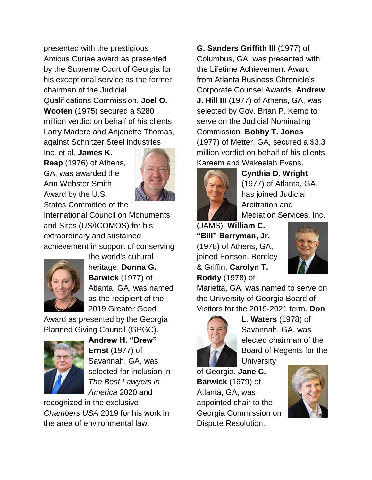presented with the prestigious Amicus Curiae award as presented by the Supreme Court of Georgia for his exceptional service as the former chairman of the Judicial Qualifications Commission. **Joel O. Wooten** (1975) secured a \$280

million verdict on behalf of his clients, Larry Madere and Anjanette Thomas, against Schnitzer Steel Industries

Inc. et al. **James K. Reap** (1976) of Athens, GA, was awarded the Ann Webster Smith Award by the U.S. States Committee of the



International Council on Monuments and Sites (US/ICOMOS) for his extraordinary and sustained achievement in support of conserving



the world's cultural heritage. **Donna G. Barwick** (1977) of Atlanta, GA, was named as the recipient of the 2019 Greater Good

Award as presented by the Georgia Planned Giving Council (GPGC).



**Andrew H. "Drew" Ernst** (1977) of Savannah, GA, was selected for inclusion in *The Best Lawyers in America* 2020 and

recognized in the exclusive *Chambers USA* 2019 for his work in the area of environmental law.

**G. Sanders Griffith III** (1977) of Columbus, GA, was presented with the Lifetime Achievement Award from Atlanta Business Chronicle's Corporate Counsel Awards. **Andrew J. Hill III** (1977) of Athens, GA, was selected by Gov. Brian P. Kemp to serve on the Judicial Nominating Commission. **Bobby T. Jones**  (1977) of Metter, GA, secured a \$3.3 million verdict on behalf of his clients, Kareem and Wakeelah Evans.



**Cynthia D. Wright** (1977) of Atlanta, GA, has joined Judicial Arbitration and Mediation Services, Inc.

(JAMS). **William C. "Bill" Berryman, Jr.** (1978) of Athens, GA, joined Fortson, Bentley & Griffin. **Carolyn T. Roddy** (1978) of



Marietta, GA, was named to serve on the University of Georgia Board of Visitors for the 2019-2021 term. **Don** 



**L. Waters** (1978) of Savannah, GA, was elected chairman of the Board of Regents for the

**University** of Georgia. **Jane C.** 

**Barwick** (1979) of Atlanta, GA, was appointed chair to the Georgia Commission on Dispute Resolution.

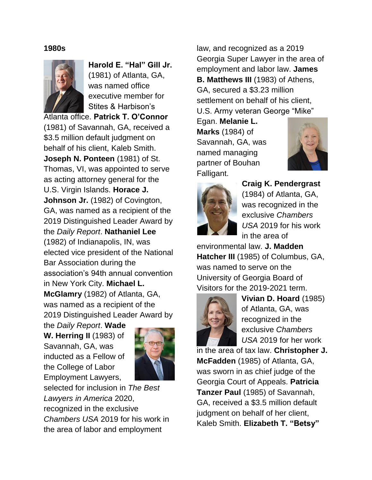#### **1980s**



**Harold E. "Hal" Gill Jr.** (1981) of Atlanta, GA, was named office executive member for Stites & Harbison's

Atlanta office. **Patrick T. O'Connor**  (1981) of Savannah, GA, received a \$3.5 million default judgment on behalf of his client, Kaleb Smith. **Joseph N. Ponteen** (1981) of St. Thomas, VI, was appointed to serve as acting attorney general for the U.S. Virgin Islands. **Horace J. Johnson Jr.** (1982) of Covington, GA, was named as a recipient of the 2019 Distinguished Leader Award by the *Daily Report*. **Nathaniel Lee**  (1982) of Indianapolis, IN, was elected vice president of the National Bar Association during the association's 94th annual convention in New York City. **Michael L. McGlamry** (1982) of Atlanta, GA, was named as a recipient of the 2019 Distinguished Leader Award by

the *Daily Report*. **Wade W. Herring II** (1983) of Savannah, GA, was inducted as a Fellow of the College of Labor Employment Lawyers,



selected for inclusion in *The Best Lawyers in America* 2020, recognized in the exclusive *Chambers USA* 2019 for his work in the area of labor and employment

law, and recognized as a 2019 Georgia Super Lawyer in the area of employment and labor law. **James B. Matthews III** (1983) of Athens, GA, secured a \$3.23 million settlement on behalf of his client, U.S. Army veteran George "Mike"

Egan. **Melanie L. Marks** (1984) of Savannah, GA, was named managing partner of Bouhan Falligant.





**Craig K. Pendergrast**  (1984) of Atlanta, GA, was recognized in the exclusive *Chambers USA* 2019 for his work in the area of

environmental law. **J. Madden Hatcher III** (1985) of Columbus, GA, was named to serve on the University of Georgia Board of Visitors for the 2019-2021 term.



**Vivian D. Hoard** (1985) of Atlanta, GA, was recognized in the exclusive *Chambers USA* 2019 for her work

in the area of tax law. **Christopher J. McFadden** (1985) of Atlanta, GA, was sworn in as chief judge of the Georgia Court of Appeals. **Patricia Tanzer Paul** (1985) of Savannah, GA, received a \$3.5 million default judgment on behalf of her client, Kaleb Smith. **Elizabeth T. "Betsy"**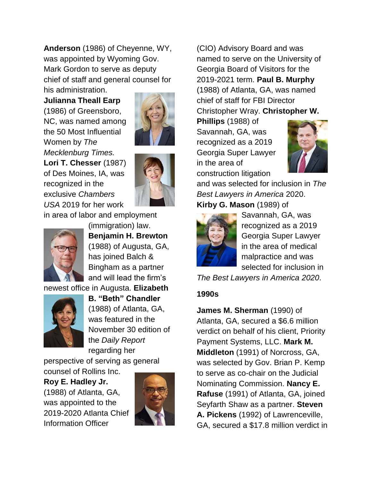**Anderson** (1986) of Cheyenne, WY, was appointed by Wyoming Gov. Mark Gordon to serve as deputy chief of staff and general counsel for his administration.

**Julianna Theall Earp** (1986) of Greensboro, NC, was named among the 50 Most Influential Women by *The Mecklenburg Times.* **Lori T. Chesser** (1987) of Des Moines, IA, was recognized in the exclusive *Chambers USA* 2019 for her work



in area of labor and employment



(immigration) law. **Benjamin H. Brewton** (1988) of Augusta, GA, has joined Balch & Bingham as a partner and will lead the firm's

newest office in Augusta. **Elizabeth** 



**B. "Beth" Chandler** (1988) of Atlanta, GA, was featured in the November 30 edition of the *Daily Report* regarding her

perspective of serving as general counsel of Rollins Inc.

## **Roy E. Hadley Jr.**

(1988) of Atlanta, GA, was appointed to the 2019-2020 Atlanta Chief Information Officer



(CIO) Advisory Board and was named to serve on the University of Georgia Board of Visitors for the 2019-2021 term. **Paul B. Murphy** (1988) of Atlanta, GA, was named chief of staff for FBI Director Christopher Wray. **Christopher W.** 

**Phillips** (1988) of Savannah, GA, was recognized as a 2019 Georgia Super Lawyer in the area of construction litigation



and was selected for inclusion in *The Best Lawyers in America* 2020. **Kirby G. Mason** (1989) of



Savannah, GA, was recognized as a 2019 Georgia Super Lawyer in the area of medical malpractice and was selected for inclusion in

*The Best Lawyers in America 2020*.

### **1990s**

**James M. Sherman** (1990) of Atlanta, GA, secured a \$6.6 million verdict on behalf of his client, Priority Payment Systems, LLC. **Mark M. Middleton** (1991) of Norcross, GA, was selected by Gov. Brian P. Kemp to serve as co-chair on the Judicial Nominating Commission. **Nancy E. Rafuse** (1991) of Atlanta, GA, joined Seyfarth Shaw as a partner. **Steven A. Pickens** (1992) of Lawrenceville, GA, secured a \$17.8 million verdict in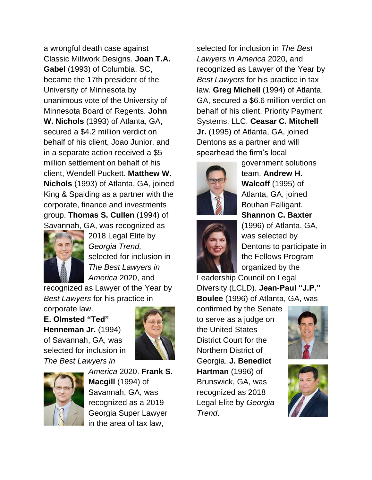a wrongful death case against Classic Millwork Designs. **Joan T.A. Gabel** (1993) of Columbia, SC, became the 17th president of the University of Minnesota by unanimous vote of the University of Minnesota Board of Regents. **John W. Nichols** (1993) of Atlanta, GA, secured a \$4.2 million verdict on behalf of his client, Joao Junior, and in a separate action received a \$5 million settlement on behalf of his client, Wendell Puckett. **Matthew W. Nichols** (1993) of Atlanta, GA, joined King & Spalding as a partner with the corporate, finance and investments group. **Thomas S. Cullen** (1994) of Savannah, GA, was recognized as



2018 Legal Elite by *Georgia Trend,* selected for inclusion in *The Best Lawyers in America* 2020, and

recognized as Lawyer of the Year by *Best Lawyers* for his practice in

corporate law.

**E. Olmsted "Ted" Henneman Jr.** (1994) of Savannah, GA, was selected for inclusion in *The Best Lawyers in* 





*America* 2020. **Frank S. Macgill** (1994) of Savannah, GA, was recognized as a 2019 Georgia Super Lawyer in the area of tax law,

selected for inclusion in *The Best Lawyers in America* 2020, and recognized as Lawyer of the Year by *Best Lawyers* for his practice in tax law. **Greg Michell** (1994) of Atlanta, GA, secured a \$6.6 million verdict on behalf of his client, Priority Payment Systems, LLC. **Ceasar C. Mitchell Jr.** (1995) of Atlanta, GA, joined Dentons as a partner and will spearhead the firm's local





government solutions team. **Andrew H. Walcoff** (1995) of Atlanta, GA, joined Bouhan Falligant. **Shannon C. Baxter** (1996) of Atlanta, GA, was selected by

Dentons to participate in the Fellows Program organized by the

Leadership Council on Legal Diversity (LCLD). **Jean-Paul "J.P." Boulee** (1996) of Atlanta, GA, was

confirmed by the Senate to serve as a judge on the United States District Court for the Northern District of Georgia. **J. Benedict Hartman** (1996) of Brunswick, GA, was recognized as 2018 Legal Elite by *Georgia Trend*.



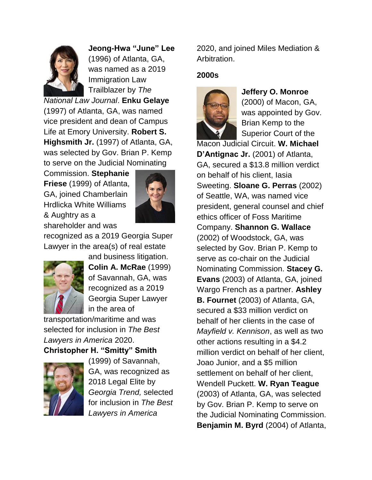

**Jeong-Hwa "June" Lee**  (1996) of Atlanta, GA, was named as a 2019 Immigration Law Trailblazer by *The* 

*National Law Journal*. **Enku Gelaye** (1997) of Atlanta, GA, was named vice president and dean of Campus Life at Emory University. **Robert S. Highsmith Jr.** (1997) of Atlanta, GA, was selected by Gov. Brian P. Kemp to serve on the Judicial Nominating

Commission. **Stephanie Friese** (1999) of Atlanta, GA, joined Chamberlain Hrdlicka White Williams & Aughtry as a shareholder and was



recognized as a 2019 Georgia Super Lawyer in the area(s) of real estate



and business litigation. **Colin A. McRae** (1999) of Savannah, GA, was recognized as a 2019 Georgia Super Lawyer in the area of

transportation/maritime and was selected for inclusion in *The Best Lawyers in America* 2020.

**Christopher H. "Smitty" Smith** 



(1999) of Savannah, GA, was recognized as 2018 Legal Elite by *Georgia Trend,* selected for inclusion in *The Best Lawyers in America*

2020, and joined Miles Mediation & Arbitration.

### **2000s**



**Jeffery O. Monroe** 

(2000) of Macon, GA, was appointed by Gov. Brian Kemp to the Superior Court of the

Macon Judicial Circuit. **W. Michael D'Antignac Jr.** (2001) of Atlanta, GA, secured a \$13.8 million verdict on behalf of his client, Iasia Sweeting. **Sloane G. Perras** (2002) of Seattle, WA, was named vice president, general counsel and chief ethics officer of Foss Maritime Company. **Shannon G. Wallace**  (2002) of Woodstock, GA, was selected by Gov. Brian P. Kemp to serve as co-chair on the Judicial Nominating Commission. **Stacey G. Evans** (2003) of Atlanta, GA, joined Wargo French as a partner. **Ashley B. Fournet** (2003) of Atlanta, GA, secured a \$33 million verdict on behalf of her clients in the case of *Mayfield v. Kennison*, as well as two other actions resulting in a \$4.2 million verdict on behalf of her client, Joao Junior, and a \$5 million settlement on behalf of her client, Wendell Puckett. **W. Ryan Teague**  (2003) of Atlanta, GA, was selected by Gov. Brian P. Kemp to serve on the Judicial Nominating Commission. **Benjamin M. Byrd** (2004) of Atlanta,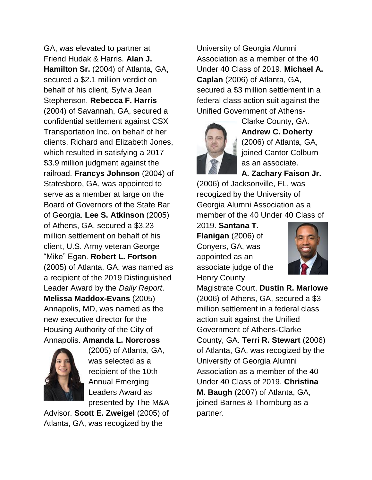GA, was elevated to partner at Friend Hudak & Harris. **Alan J. Hamilton Sr.** (2004) of Atlanta, GA, secured a \$2.1 million verdict on behalf of his client, Sylvia Jean Stephenson. **Rebecca F. Harris** (2004) of Savannah, GA, secured a confidential settlement against CSX Transportation Inc. on behalf of her clients, Richard and Elizabeth Jones, which resulted in satisfying a 2017 \$3.9 million judgment against the railroad. **Francys Johnson** (2004) of Statesboro, GA, was appointed to serve as a member at large on the Board of Governors of the State Bar of Georgia. **Lee S. Atkinson** (2005) of Athens, GA, secured a \$3.23 million settlement on behalf of his client, U.S. Army veteran George "Mike" Egan. **Robert L. Fortson** (2005) of Atlanta, GA, was named as a recipient of the 2019 Distinguished Leader Award by the *Daily Report*. **Melissa Maddox-Evans** (2005) Annapolis, MD, was named as the new executive director for the Housing Authority of the City of Annapolis. **Amanda L. Norcross**



(2005) of Atlanta, GA, was selected as a recipient of the 10th Annual Emerging Leaders Award as presented by The M&A

Advisor. **Scott E. Zweigel** (2005) of Atlanta, GA, was recogized by the

University of Georgia Alumni Association as a member of the 40 Under 40 Class of 2019. **Michael A. Caplan** (2006) of Atlanta, GA, secured a \$3 million settlement in a federal class action suit against the Unified Government of Athens-



Clarke County, GA. **Andrew C. Doherty** (2006) of Atlanta, GA, joined Cantor Colburn as an associate. **A. Zachary Faison Jr.**

(2006) of Jacksonville, FL, was recogized by the University of Georgia Alumni Association as a member of the 40 Under 40 Class of

2019. **Santana T. Flanigan** (2006) of Conyers, GA, was appointed as an associate judge of the Henry County



Magistrate Court. **Dustin R. Marlowe** (2006) of Athens, GA, secured a \$3 million settlement in a federal class action suit against the Unified Government of Athens-Clarke County, GA. **Terri R. Stewart** (2006) of Atlanta, GA, was recogized by the University of Georgia Alumni Association as a member of the 40 Under 40 Class of 2019. **Christina M. Baugh** (2007) of Atlanta, GA, joined Barnes & Thornburg as a partner.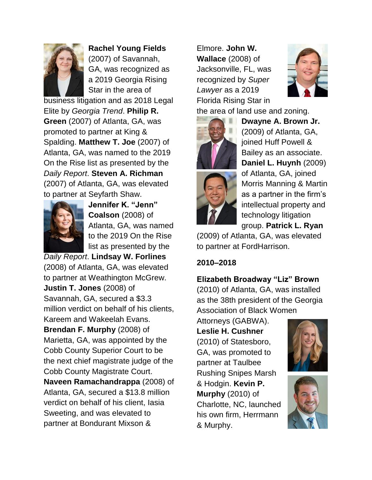

**Rachel Young Fields** (2007) of Savannah, GA, was recognized as a 2019 Georgia Rising Star in the area of

business litigation and as 2018 Legal Elite by *Georgia Trend*. **Philip R. Green** (2007) of Atlanta, GA, was promoted to partner at King & Spalding. **Matthew T. Joe** (2007) of Atlanta, GA, was named to the 2019 On the Rise list as presented by the *Daily Report*. **Steven A. Richman** (2007) of Atlanta, GA, was elevated to partner at Seyfarth Shaw.



**Jennifer K. "Jenn" Coalson** (2008) of Atlanta, GA, was named to the 2019 On the Rise list as presented by the

*Daily Report*. **Lindsay W. Forlines** (2008) of Atlanta, GA, was elevated to partner at Weathington McGrew. **Justin T. Jones** (2008) of Savannah, GA, secured a \$3.3 million verdict on behalf of his clients, Kareem and Wakeelah Evans. **Brendan F. Murphy** (2008) of Marietta, GA, was appointed by the Cobb County Superior Court to be the next chief magistrate judge of the Cobb County Magistrate Court. **Naveen Ramachandrappa** (2008) of Atlanta, GA, secured a \$13.8 million verdict on behalf of his client, Iasia Sweeting, and was elevated to partner at Bondurant Mixson &

Elmore. **John W. Wallace** (2008) of Jacksonville, FL, was recognized by *Super Lawyer* as a 2019 Florida Rising Star in





**Dwayne A. Brown Jr.** (2009) of Atlanta, GA, joined Huff Powell & Bailey as an associate. **Daniel L. Huynh** (2009) of Atlanta, GA, joined Morris Manning & Martin as a partner in the firm's intellectual property and technology litigation group. **Patrick L. Ryan**

(2009) of Atlanta, GA, was elevated to partner at FordHarrison.

## **2010–2018**

**Elizabeth Broadway "Liz" Brown** 

(2010) of Atlanta, GA, was installed as the 38th president of the Georgia Association of Black Women

Attorneys (GABWA). **Leslie H. Cushner** (2010) of Statesboro, GA, was promoted to partner at Taulbee Rushing Snipes Marsh & Hodgin. **Kevin P. Murphy** (2010) of Charlotte, NC, launched his own firm, Herrmann & Murphy.



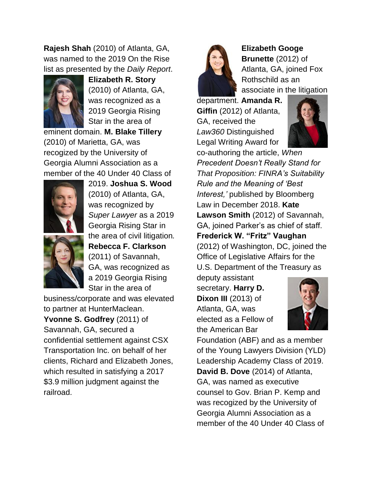**Rajesh Shah** (2010) of Atlanta, GA, was named to the 2019 On the Rise list as presented by the *Daily Report*.



**Elizabeth R. Story** (2010) of Atlanta, GA, was recognized as a 2019 Georgia Rising Star in the area of

eminent domain. **M. Blake Tillery**  (2010) of Marietta, GA, was recogized by the University of Georgia Alumni Association as a member of the 40 Under 40 Class of



2019. **Joshua S. Wood**  (2010) of Atlanta, GA, was recognized by *Super Lawyer* as a 2019 Georgia Rising Star in the area of civil litigation*.*  **Rebecca F. Clarkson** (2011) of Savannah, GA, was recognized as a 2019 Georgia Rising Star in the area of

business/corporate and was elevated to partner at HunterMaclean.

**Yvonne S. Godfrey** (2011) of Savannah, GA, secured a confidential settlement against CSX Transportation Inc. on behalf of her clients, Richard and Elizabeth Jones, which resulted in satisfying a 2017 \$3.9 million judgment against the railroad.



**Elizabeth Googe Brunette** (2012) of Atlanta, GA, joined Fox Rothschild as an associate in the litigation

department. **Amanda R. Giffin** (2012) of Atlanta, GA, received the *Law360* Distinguished Legal Writing Award for



co-authoring the article, *[When](https://us.eversheds-sutherland.com/NewsCommentary/Articles/216303/When-Precedent-Doesnt-Really-Stand-for-That-Proposition-FINRAs-Suitability-Rule-and-the-Meaning-of-Best-Interest)  [Precedent Doesn't Really Stand for](https://us.eversheds-sutherland.com/NewsCommentary/Articles/216303/When-Precedent-Doesnt-Really-Stand-for-That-Proposition-FINRAs-Suitability-Rule-and-the-Meaning-of-Best-Interest)  [That Proposition: FINRA's Suitability](https://us.eversheds-sutherland.com/NewsCommentary/Articles/216303/When-Precedent-Doesnt-Really-Stand-for-That-Proposition-FINRAs-Suitability-Rule-and-the-Meaning-of-Best-Interest)  [Rule and the Meaning of 'Best](https://us.eversheds-sutherland.com/NewsCommentary/Articles/216303/When-Precedent-Doesnt-Really-Stand-for-That-Proposition-FINRAs-Suitability-Rule-and-the-Meaning-of-Best-Interest)  [Interest,'](https://us.eversheds-sutherland.com/NewsCommentary/Articles/216303/When-Precedent-Doesnt-Really-Stand-for-That-Proposition-FINRAs-Suitability-Rule-and-the-Meaning-of-Best-Interest)* published by Bloomberg Law in December 2018. **Kate Lawson Smith** (2012) of Savannah, GA, joined Parker's as chief of staff. **Frederick W. "Fritz" Vaughan** (2012) of Washington, DC, joined the Office of Legislative Affairs for the U.S. Department of the Treasury as

deputy assistant secretary. **Harry D. Dixon III** (2013) of Atlanta, GA, was elected as a Fellow of the American Bar



Foundation (ABF) and as a member of the Young Lawyers Division (YLD) Leadership Academy Class of 2019. **David B. Dove** (2014) of Atlanta, GA, was named as executive counsel to Gov. Brian P. Kemp and was recogized by the University of Georgia Alumni Association as a member of the 40 Under 40 Class of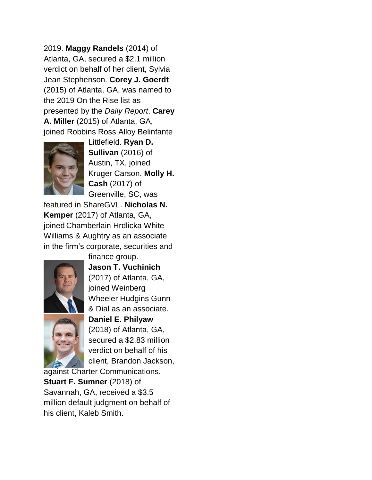2019. **Maggy Randels** (2014) of Atlanta, GA, secured a \$2.1 million verdict on behalf of her client, Sylvia Jean Stephenson. **Corey J. Goerdt** (2015) of Atlanta, GA, was named to the 2019 On the Rise list as presented by the *Daily Report*. **Carey A. Miller** (2015) of Atlanta, GA, joined Robbins Ross Alloy Belinfante



Littlefield. **Ryan D. Sullivan** (2016) of Austin, TX, joined Kruger Carson. **Molly H. Cash** (2017) of Greenville, SC, was

featured in ShareGVL. **Nicholas N. Kemper** (2017) of Atlanta, GA, joined Chamberlain Hrdlicka White Williams & Aughtry as an associate in the firm's corporate, securities and



finance group. **Jason T. Vuchinich** (2017) of Atlanta, GA, joined Weinberg Wheeler Hudgins Gunn & Dial as an associate.



**Daniel E. Philyaw** (2018) of Atlanta, GA, secured a \$2.83 million verdict on behalf of his client, Brandon Jackson,

against Charter Communications. **Stuart F. Sumner** (2018) of Savannah, GA, received a \$3.5 million default judgment on behalf of his client, Kaleb Smith.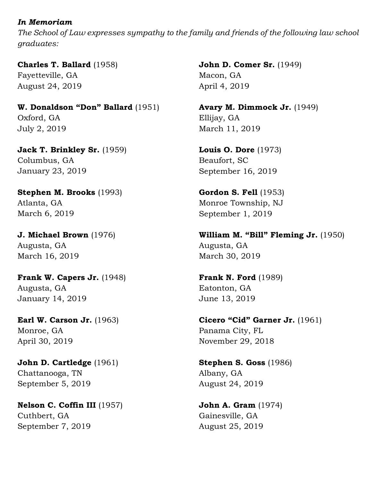### *In Memoriam*

*The School of Law expresses sympathy to the family and friends of the following law school graduates:*

**Charles T. Ballard** (1958) Fayetteville, GA August 24, 2019

**W. Donaldson "Don" Ballard** (1951) Oxford, GA July 2, 2019

**Jack T. Brinkley Sr.** (1959) Columbus, GA January 23, 2019

**Stephen M. Brooks** (1993) Atlanta, GA March 6, 2019

**J. Michael Brown** (1976) Augusta, GA March 16, 2019

**Frank W. Capers Jr.** (1948) Augusta, GA January 14, 2019

**Earl W. Carson Jr.** (1963) Monroe, GA April 30, 2019

**John D. Cartledge** (1961) Chattanooga, TN September 5, 2019

**Nelson C. Coffin III** (1957) Cuthbert, GA September 7, 2019

**John D. Comer Sr.** (1949) Macon, GA April 4, 2019

**Avary M. Dimmock Jr.** (1949) Ellijay, GA March 11, 2019

**Louis O. Dore** (1973) Beaufort, SC September 16, 2019

**Gordon S. Fell** (1953) Monroe Township, NJ September 1, 2019

**William M. "Bill" Fleming Jr.** (1950) Augusta, GA March 30, 2019

**Frank N. Ford** (1989) Eatonton, GA June 13, 2019

**Cicero "Cid" Garner Jr.** (1961) Panama City, FL November 29, 2018

**Stephen S. Goss** (1986) Albany, GA August 24, 2019

**John A. Gram** (1974) Gainesville, GA August 25, 2019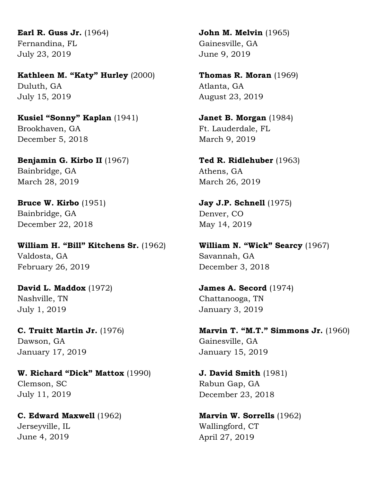**Earl R. Guss Jr.** (1964) Fernandina, FL July 23, 2019

**Kathleen M. "Katy" Hurley** (2000) Duluth, GA July 15, 2019

**Kusiel "Sonny" Kaplan** (1941) Brookhaven, GA December 5, 2018

**Benjamin G. Kirbo II** (1967) Bainbridge, GA March 28, 2019

**Bruce W. Kirbo** (1951) Bainbridge, GA December 22, 2018

**William H. "Bill" Kitchens Sr.** (1962) Valdosta, GA February 26, 2019

**David L. Maddox** (1972) Nashville, TN July 1, 2019

**C. Truitt Martin Jr.** (1976) Dawson, GA January 17, 2019

**W. Richard "Dick" Mattox** (1990) Clemson, SC July 11, 2019

**C. Edward Maxwell** (1962) Jerseyville, IL June 4, 2019

**John M. Melvin** (1965) Gainesville, GA June 9, 2019

**Thomas R. Moran** (1969) Atlanta, GA August 23, 2019

**Janet B. Morgan** (1984) Ft. Lauderdale, FL March 9, 2019

**Ted R. Ridlehuber** (1963) Athens, GA March 26, 2019

**Jay J.P. Schnell** (1975) Denver, CO May 14, 2019

**William N. "Wick" Searcy** (1967) Savannah, GA December 3, 2018

**James A. Secord** (1974) Chattanooga, TN January 3, 2019

**Marvin T. "M.T." Simmons Jr.** (1960) Gainesville, GA January 15, 2019

**J. David Smith** (1981) Rabun Gap, GA December 23, 2018

**Marvin W. Sorrells** (1962) Wallingford, CT April 27, 2019